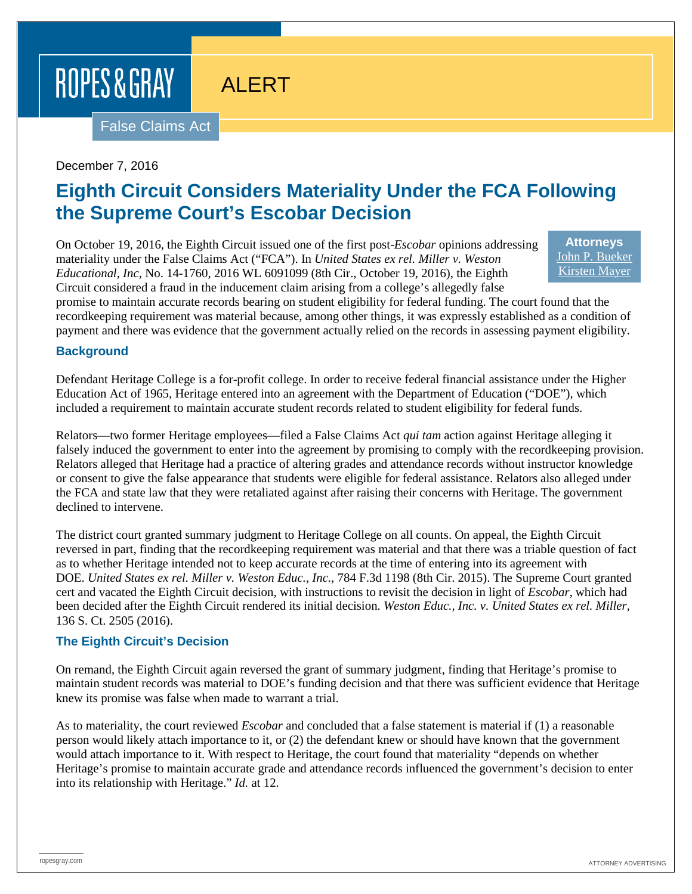# ROPES & GRAY

# ALERT

False Claims Act

#### December 7, 2016

## **Eighth Circuit Considers Materiality Under the FCA Following the Supreme Court's Escobar Decision**

On October 19, 2016, the Eighth Circuit issued one of the first post-*Escobar* opinions addressing materiality under the False Claims Act ("FCA"). In *United States ex rel. Miller v. Weston Educational, Inc*, No. 14-1760, 2016 WL 6091099 (8th Cir., October 19, 2016), the Eighth Circuit considered a fraud in the inducement claim arising from a college's allegedly false

**Attorneys** [John P. Bueker](https://www.ropesgray.com/biographies/b/john-p-bueker.aspx) [Kirsten Mayer](https://www.ropesgray.com/biographies/m/kirsten-mayer.aspx)

promise to maintain accurate records bearing on student eligibility for federal funding. The court found that the recordkeeping requirement was material because, among other things, it was expressly established as a condition of payment and there was evidence that the government actually relied on the records in assessing payment eligibility.

#### **Background**

Defendant Heritage College is a for-profit college. In order to receive federal financial assistance under the Higher Education Act of 1965, Heritage entered into an agreement with the Department of Education ("DOE"), which included a requirement to maintain accurate student records related to student eligibility for federal funds.

Relators—two former Heritage employees—filed a False Claims Act *qui tam* action against Heritage alleging it falsely induced the government to enter into the agreement by promising to comply with the recordkeeping provision. Relators alleged that Heritage had a practice of altering grades and attendance records without instructor knowledge or consent to give the false appearance that students were eligible for federal assistance. Relators also alleged under the FCA and state law that they were retaliated against after raising their concerns with Heritage. The government declined to intervene.

The district court granted summary judgment to Heritage College on all counts. On appeal, the Eighth Circuit reversed in part, finding that the recordkeeping requirement was material and that there was a triable question of fact as to whether Heritage intended not to keep accurate records at the time of entering into its agreement with DOE. *United States ex rel. Miller v. Weston Educ., Inc.*, 784 F.3d 1198 (8th Cir. 2015). The Supreme Court granted cert and vacated the Eighth Circuit decision, with instructions to revisit the decision in light of *Escobar*, which had been decided after the Eighth Circuit rendered its initial decision. *Weston Educ., Inc. v. United States ex rel. Miller*, 136 S. Ct. 2505 (2016).

#### **The Eighth Circuit's Decision**

On remand, the Eighth Circuit again reversed the grant of summary judgment, finding that Heritage's promise to maintain student records was material to DOE's funding decision and that there was sufficient evidence that Heritage knew its promise was false when made to warrant a trial.

As to materiality, the court reviewed *Escobar* and concluded that a false statement is material if (1) a reasonable person would likely attach importance to it, or (2) the defendant knew or should have known that the government would attach importance to it. With respect to Heritage, the court found that materiality "depends on whether Heritage's promise to maintain accurate grade and attendance records influenced the government's decision to enter into its relationship with Heritage." *Id.* at 12.